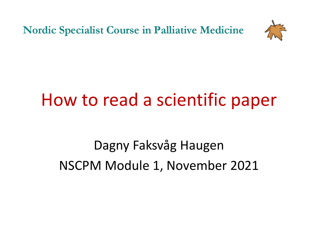**Nordic Specialist Course in Palliative Medicine** 



## How to read a scientific paper

Dagny Faksvåg Haugen NSCPM Module 1, November 2021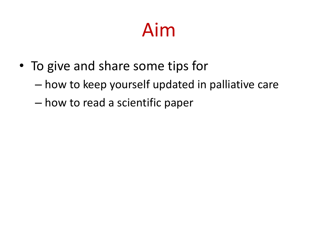# Aim

- To give and share some tips for
	- how to keep yourself updated in palliative care
	- how to read a scientific paper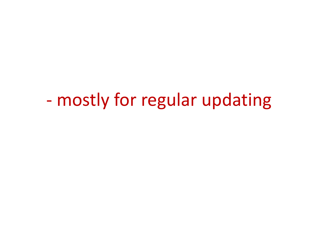- mostly for regular updating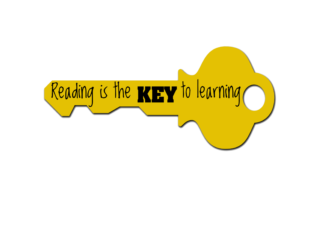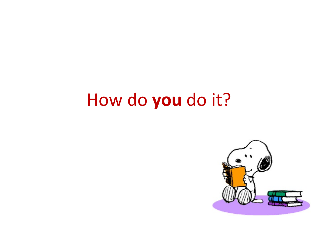### How do **you** do it?

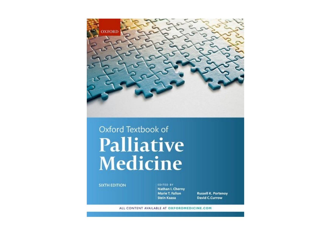

#### Oxford Textbook of **Palliative** Medicine

#### **SIXTH EDITION**

EDITED BY Nathan I. Cherny **Marie T. Fallon Stein Kaasa** 

**Russell K. Portenoy David C.Currow** 

ALL CONTENT AVAILABLE AT OXFORDMEDICINE.COM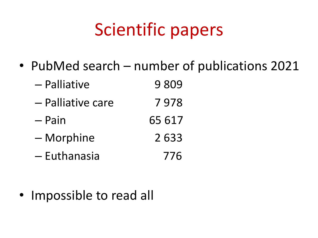# Scientific papers

• PubMed search – number of publications 2021

| – Palliative      | 9809   |
|-------------------|--------|
| - Palliative care | 7978   |
| $-$ Pain          | 65 617 |
| - Morphine        | 2633   |
|                   |        |

– Euthanasia 776

• Impossible to read all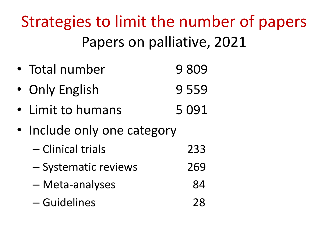Strategies to limit the number of papers Papers on palliative, 2021

- Total number 9 809
- Only English 9 559
- Limit to humans 5 091
- Include only one category
	- Clinical trials 233
	- Systematic reviews 269
	- Meta-analyses 84
	- Guidelines 28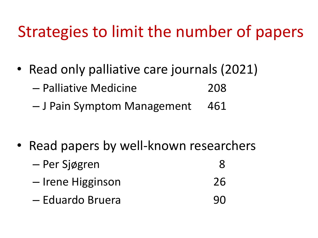### Strategies to limit the number of papers

- Read only palliative care journals (2021)
	- Palliative Medicine 208
	- J Pain Symptom Management 461

- Read papers by well-known researchers
	- Per Sjøgren 8 – Irene Higginson 26
	- Eduardo Bruera 90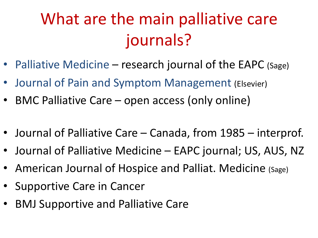# What are the main palliative care journals?

- Palliative Medicine research journal of the EAPC (Sage)
- Journal of Pain and Symptom Management (Elsevier)
- BMC Palliative Care open access (only online)
- Journal of Palliative Care Canada, from 1985 interprof.
- Journal of Palliative Medicine EAPC journal; US, AUS, NZ
- American Journal of Hospice and Palliat. Medicine (Sage)
- Supportive Care in Cancer
- BMJ Supportive and Palliative Care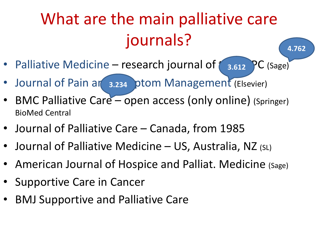# What are the main palliative care journals?

**4.762**

- Palliative Medicine research journal of  $\left( 3.612 \right)$  PC (Sage)
- Journal of Pain an 3.234 ptom Management (Elsevier)
- BMC Palliative Care open access (only online) (Springer) BioMed Central
- Journal of Palliative Care Canada, from 1985
- Journal of Palliative Medicine US, Australia, NZ (SL)
- American Journal of Hospice and Palliat. Medicine (Sage)
- Supportive Care in Cancer
- BMJ Supportive and Palliative Care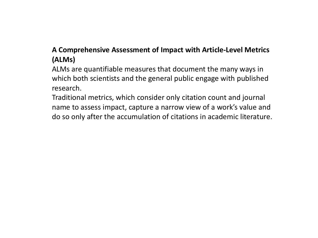#### **A Comprehensive Assessment of Impact with Article-Level Metrics (ALMs)**

ALMs are quantifiable measures that document the many ways in which both scientists and the general public engage with published research.

Traditional metrics, which consider only citation count and journal name to assess impact, capture a narrow view of a work's value and do so only after the accumulation of citations in academic literature.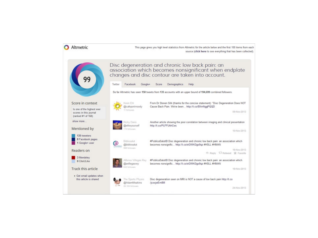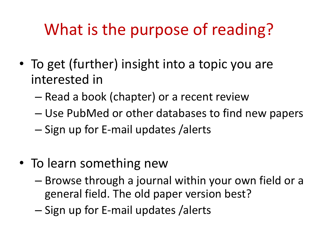### What is the purpose of reading?

- To get (further) insight into a topic you are interested in
	- Read a book (chapter) or a recent review
	- Use PubMed or other databases to find new papers
	- Sign up for E-mail updates /alerts
- To learn something new
	- Browse through a journal within your own field or a general field. The old paper version best?
	- Sign up for E-mail updates /alerts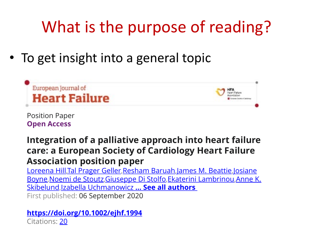# What is the purpose of reading?

#### To get insight into a general topic





Position Paper **Open Access**

#### **Integration of a palliative approach into heart failure care: a European Society of Cardiology Heart Failure Association position paper**

Loreena Hill,Tal Prager Geller,Resham Baruah,James M. Beattie,Josiane Boyne,Noemi de Stoutz,Giuseppe Di Stolfo,Ekaterini Lambrinou,Anne K. Skibelund,Izabella Uchmanowicz **… See all authors** First published: 06 September 2020

#### **https://doi.org/10.1002/ejhf.1994** Citations: 20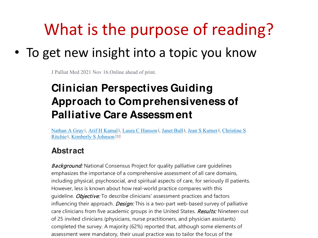### What is the purpose of reading?

#### • To get new insight into a topic you know

J Palliat Med 2021 Nov 16.Online ahead of print.

#### **Clinician Perspectives Guiding Approach to Comprehensiveness of Palliative Care Assessment**

Nathan A Gray<sup>1</sup>, Arif H Kamal<sup>2</sup>, Laura C Hanson<sup>2</sup>, Janet Bull<sup>4</sup>, Jean S Kutner<sup>5</sup>, Christine S Ritchie<sup>6</sup>, Kimberly S Johnson<sup>789</sup>

#### **Abstract**

**Background:** National Consensus Project for quality palliative care quidelines emphasizes the importance of a comprehensive assessment of all care domains, including physical, psychosocial, and spiritual aspects of care, for seriously ill patients. However, less is known about how real-world practice compares with this guideline. *Objective:* To describe clinicians' assessment practices and factors influencing their approach. *Design:* This is a two-part web-based survey of palliative care clinicians from five academic groups in the United States. Results: Nineteen out of 25 invited clinicians (physicians, nurse practitioners, and physician assistants) completed the survey. A majority (62%) reported that, although some elements of assessment were mandatory, their usual practice was to tailor the focus of the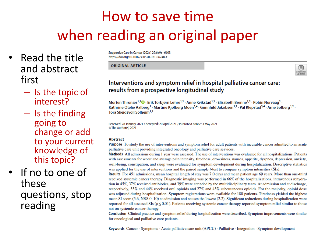#### How to save time when reading an original paper

- Read the title and abstract first
	- Is the topic of interest?
	- Is the finding going to change or add to your current knowledge of this topic?

#### If no to one of these questions, stop reading

Supportive Care in Cancer (2021) 29:6595-6603 https://doi.org/10.1007/s00520-021-06248-z

**ORIGINAL ARTICLE** 

#### Interventions and symptom relief in hospital palliative cancer care: results from a prospective longitudinal study

Morten Thronæs<sup>1,2</sup><sup>0</sup> · Erik Torbjørn Løhre<sup>1,2</sup> · Anne Kvikstad<sup>1,2</sup> · Elisabeth Brenne<sup>1,2</sup> · Robin Norvaag<sup>2</sup> · Kathrine Otelie Aalberg<sup>1</sup> · Martine Kjølberg Moen<sup>3,4</sup> · Gunnhild Jakobsen<sup>1,2</sup> · Pål Klepstad<sup>3,4</sup> · Arne Solberg<sup>1,2</sup> · Tora Skeidsvoll Solheim<sup>1,2</sup>

Received: 28 January 2021 / Accepted: 20 April 2021 / Published online: 3 May 2021 © The Author(s) 2021

#### **Abstract**

Purpose To study the use of interventions and symptom relief for adult patients with incurable cancer admitted to an acute palliative care unit providing integrated oncology and palliative care services.

Methods All admissions during 1 year were assessed. The use of interventions was evaluated for all hospitalizations. Patients with assessments for worst and average pain intensity, tiredness, drowsiness, nausea, appetite, dyspnea, depression, anxiety, well-being, constipation, and sleep were evaluated for symptom development during hospitalization. Descriptive statistics was applied for the use of interventions and the paired sample *t*-test to compare symptom intensities (SIs).

Results For 451 admissions, mean hospital length of stay was 7.0 days and mean patient age 69 years. More than one-third received systemic cancer therapy. Diagnostic imaging was performed in 66% of the hospitalizations, intravenous rehydration in 45%, 37% received antibiotics, and 39% were attended by the multidisciplinary team. At admission and at discharge, respectively, 55% and 44% received oral opioids and 27% and 45% subcutaneous opioids. For the majority, opioid dose was adjusted during hospitalization. Symptom registrations were available for 180 patients. Tiredness yielded the highest mean SI score  $(5.6, NRS 0-10)$  at admission and nausea the lowest  $(2.2)$ . Significant reductions during hospitalization were reported for all assessed SIs ( $p \le 0.01$ ). Patients receiving systemic cancer therapy reported symptom relief similar to those not on systemic cancer therapy.

Conclusion Clinical practice and symptom relief during hospitalization were described. Symptom improvements were similar for oncological and palliative care patients.

Keywords Cancer · Symptoms · Acute palliative care unit (APCU) · Palliative · Integration · Symptom development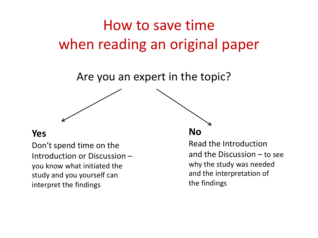#### How to save time when reading an original paper

Are you an expert in the topic?

#### **Yes**

Don't spend time on the Introduction or Discussion – you know what initiated the study and you yourself can interpret the findings

#### **No**

Read the Introduction and the Discussion – to see why the study was needed and the interpretation of the findings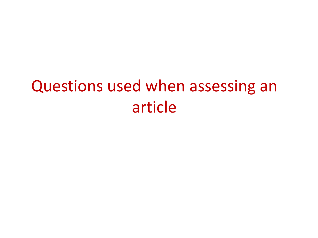### Questions used when assessing an article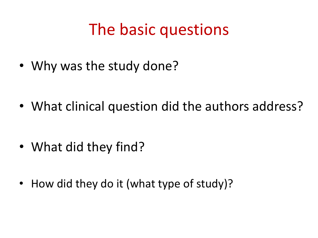#### The basic questions

• Why was the study done?

• What clinical question did the authors address?

- What did they find?
- How did they do it (what type of study)?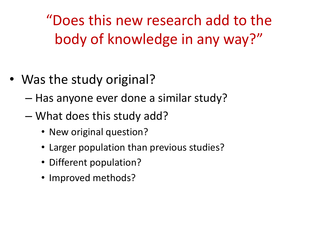"Does this new research add to the body of knowledge in any way?"

- Was the study original?
	- Has anyone ever done a similar study?
	- What does this study add?
		- New original question?
		- Larger population than previous studies?
		- Different population?
		- Improved methods?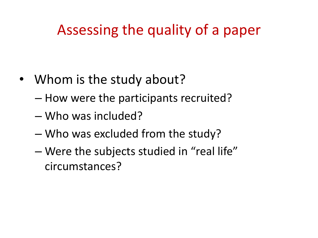#### Assessing the quality of a paper

- Whom is the study about?
	- How were the participants recruited?
	- Who was included?
	- Who was excluded from the study?
	- Were the subjects studied in "real life" circumstances?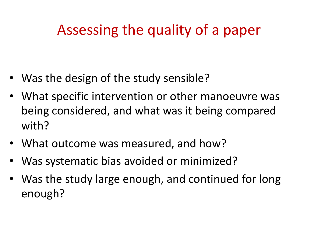#### Assessing the quality of a paper

- Was the design of the study sensible?
- What specific intervention or other manoeuvre was being considered, and what was it being compared with?
- What outcome was measured, and how?
- Was systematic bias avoided or minimized?
- Was the study large enough, and continued for long enough?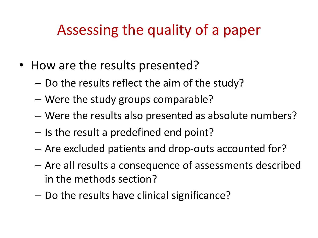#### Assessing the quality of a paper

- How are the results presented?
	- Do the results reflect the aim of the study?
	- Were the study groups comparable?
	- Were the results also presented as absolute numbers?
	- Is the result a predefined end point?
	- Are excluded patients and drop-outs accounted for?
	- Are all results a consequence of assessments described in the methods section?
	- Do the results have clinical significance?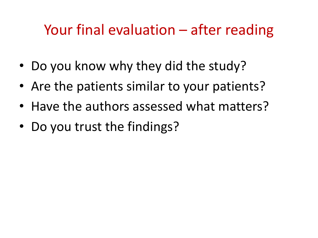#### Your final evaluation – after reading

- Do you know why they did the study?
- Are the patients similar to your patients?
- Have the authors assessed what matters?
- Do you trust the findings?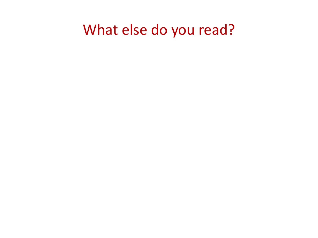#### What else do you read?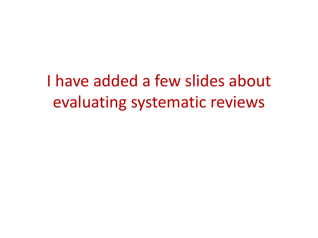I have added a few slides about evaluating systematic reviews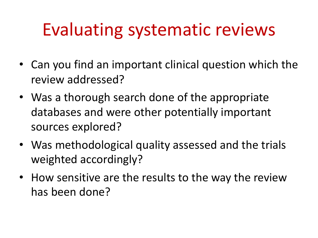# Evaluating systematic reviews

- Can you find an important clinical question which the review addressed?
- Was a thorough search done of the appropriate databases and were other potentially important sources explored?
- Was methodological quality assessed and the trials weighted accordingly?
- How sensitive are the results to the way the review has been done?